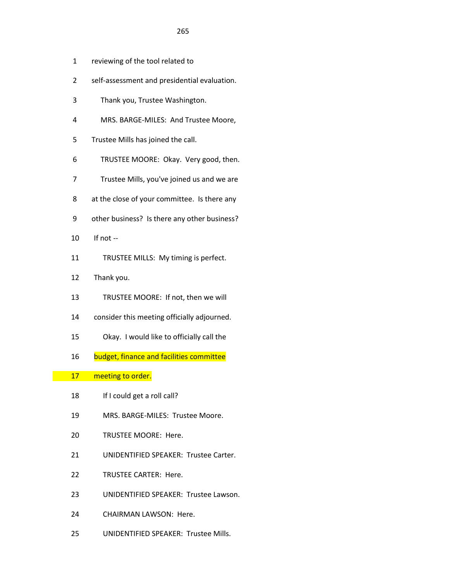- 1 reviewing of the tool related to
- 2 self-assessment and presidential evaluation.
- 3 Thank you, Trustee Washington.
- 4 MRS. BARGE-MILES: And Trustee Moore,
- 5 Trustee Mills has joined the call.
- 6 TRUSTEE MOORE: Okay. Very good, then.
- 7 Trustee Mills, you've joined us and we are
- 8 at the close of your committee. Is there any
- 9 other business? Is there any other business?
- 10 If not --
- 11 TRUSTEE MILLS: My timing is perfect.
- 12 Thank you.
- 13 TRUSTEE MOORE: If not, then we will
- 14 consider this meeting officially adjourned.
- 15 Okay. I would like to officially call the
- 16 budget, finance and facilities committee

## 17 meeting to order.

- 18 If I could get a roll call?
- 19 MRS. BARGE-MILES: Trustee Moore.
- 20 TRUSTEE MOORE: Here.
- 21 UNIDENTIFIED SPEAKER: Trustee Carter.
- 22 TRUSTEE CARTER: Here.
- 23 UNIDENTIFIED SPEAKER: Trustee Lawson.
- 24 CHAIRMAN LAWSON: Here.
- 25 UNIDENTIFIED SPEAKER: Trustee Mills.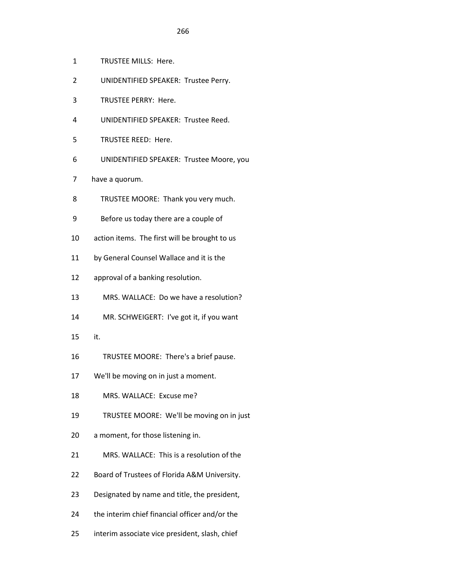- 1 TRUSTEE MILLS: Here.
- 2 UNIDENTIFIED SPEAKER: Trustee Perry.
- 3 TRUSTEE PERRY: Here.
- 4 UNIDENTIFIED SPEAKER: Trustee Reed.
- 5 TRUSTEE REED: Here.
- 6 UNIDENTIFIED SPEAKER: Trustee Moore, you
- 7 have a quorum.
- 8 TRUSTEE MOORE: Thank you very much.
- 9 Before us today there are a couple of
- 10 action items. The first will be brought to us
- 11 by General Counsel Wallace and it is the
- 12 approval of a banking resolution.
- 13 MRS. WALLACE: Do we have a resolution?
- 14 MR. SCHWEIGERT: I've got it, if you want
- 15 it.
- 16 TRUSTEE MOORE: There's a brief pause.
- 17 We'll be moving on in just a moment.
- 18 MRS. WALLACE: Excuse me?
- 19 TRUSTEE MOORE: We'll be moving on in just
- 20 a moment, for those listening in.
- 21 MRS. WALLACE: This is a resolution of the
- 22 Board of Trustees of Florida A&M University.
- 23 Designated by name and title, the president,
- 24 the interim chief financial officer and/or the
- 25 interim associate vice president, slash, chief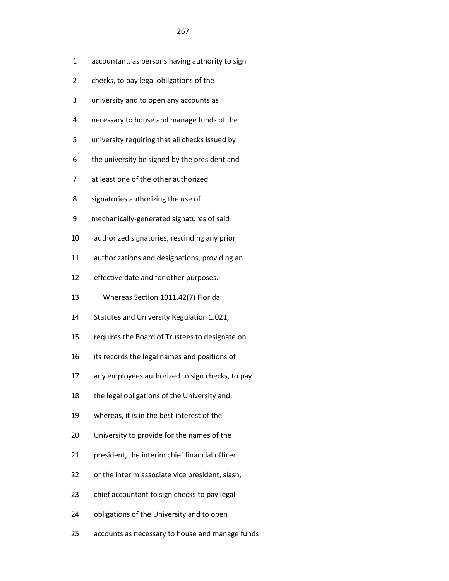- 1 accountant, as persons having authority to sign
- 2 checks, to pay legal obligations of the
- 3 university and to open any accounts as
- 4 necessary to house and manage funds of the
- 5 university requiring that all checks issued by
- 6 the university be signed by the president and
- 7 at least one of the other authorized
- 8 signatories authorizing the use of
- 9 mechanically-generated signatures of said
- 10 authorized signatories, rescinding any prior
- 11 authorizations and designations, providing an
- 12 effective date and for other purposes.
- 13 Whereas Section 1011.42(7) Florida
- 14 Statutes and University Regulation 1.021,
- 15 requires the Board of Trustees to designate on
- 16 its records the legal names and positions of
- 17 any employees authorized to sign checks, to pay
- 18 the legal obligations of the University and,
- 19 whereas, it is in the best interest of the
- 20 University to provide for the names of the
- 21 president, the interim chief financial officer
- 22 or the interim associate vice president, slash,
- 23 chief accountant to sign checks to pay legal
- 24 obligations of the University and to open
- 25 accounts as necessary to house and manage funds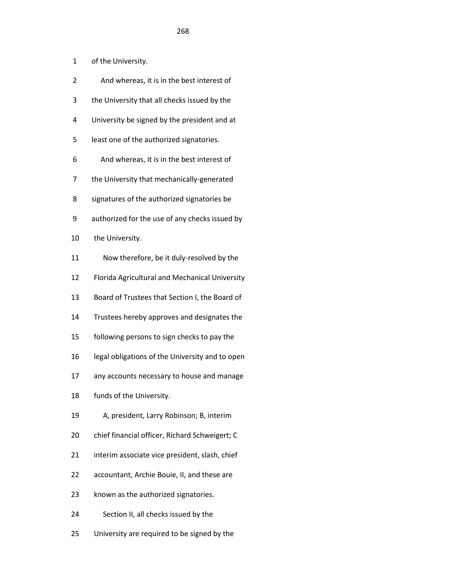| 1  | of the University.                              |
|----|-------------------------------------------------|
| 2  | And whereas, it is in the best interest of      |
| 3  | the University that all checks issued by the    |
| 4  | University be signed by the president and at    |
| 5  | least one of the authorized signatories.        |
| 6  | And whereas, it is in the best interest of      |
| 7  | the University that mechanically-generated      |
| 8  | signatures of the authorized signatories be     |
| 9  | authorized for the use of any checks issued by  |
| 10 | the University.                                 |
| 11 | Now therefore, be it duly-resolved by the       |
| 12 | Florida Agricultural and Mechanical University  |
| 13 | Board of Trustees that Section I, the Board of  |
| 14 | Trustees hereby approves and designates the     |
| 15 | following persons to sign checks to pay the     |
| 16 | legal obligations of the University and to open |
| 17 | any accounts necessary to house and manage      |
| 18 | funds of the University.                        |
| 19 | A, president, Larry Robinson; B, interim        |
| 20 | chief financial officer, Richard Schweigert; C  |
| 21 | interim associate vice president, slash, chief  |
| 22 | accountant, Archie Bouie, II, and these are     |
| 23 | known as the authorized signatories.            |
| 24 | Section II, all checks issued by the            |
| 25 | University are required to be signed by the     |

<u>268 and 268 and 268 and 268 and 268 and 268 and 268 and 268 and 268 and 268 and 268 and 268 and 268 and 268 and 268 and 268 and 268 and 268 and 268 and 268 and 268 and 268 and 268 and 268 and 268 and 268 and 268 and 268 a</u>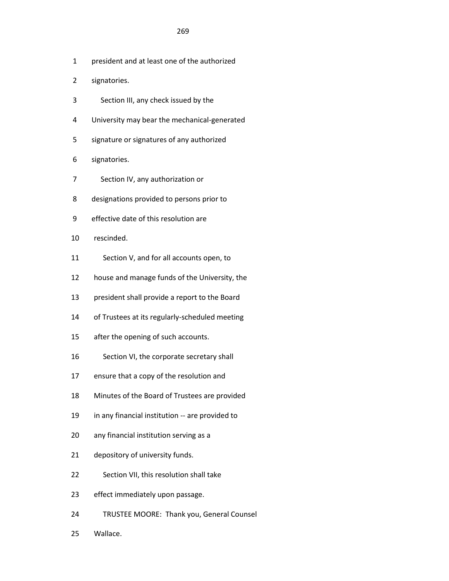- 1 president and at least one of the authorized
- 2 signatories.
- 3 Section III, any check issued by the
- 4 University may bear the mechanical-generated
- 5 signature or signatures of any authorized
- 6 signatories.
- 7 Section IV, any authorization or
- 8 designations provided to persons prior to
- 9 effective date of this resolution are
- 10 rescinded.
- 11 Section V, and for all accounts open, to
- 12 house and manage funds of the University, the
- 13 president shall provide a report to the Board
- 14 of Trustees at its regularly-scheduled meeting
- 15 after the opening of such accounts.
- 16 Section VI, the corporate secretary shall
- 17 ensure that a copy of the resolution and
- 18 Minutes of the Board of Trustees are provided
- 19 in any financial institution -- are provided to
- 20 any financial institution serving as a
- 21 depository of university funds.
- 22 Section VII, this resolution shall take
- 23 effect immediately upon passage.
- 24 TRUSTEE MOORE: Thank you, General Counsel
- 25 Wallace.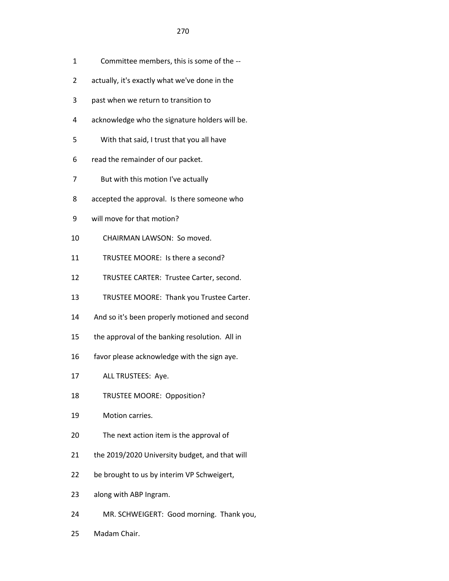- 1 Committee members, this is some of the --
- 2 actually, it's exactly what we've done in the
- 3 past when we return to transition to
- 4 acknowledge who the signature holders will be.
- 5 With that said, I trust that you all have
- 6 read the remainder of our packet.
- 7 But with this motion I've actually
- 8 accepted the approval. Is there someone who
- 9 will move for that motion?
- 10 CHAIRMAN LAWSON: So moved.
- 11 TRUSTEE MOORE: Is there a second?
- 12 TRUSTEE CARTER: Trustee Carter, second.
- 13 TRUSTEE MOORE: Thank you Trustee Carter.
- 14 And so it's been properly motioned and second
- 15 the approval of the banking resolution. All in
- 16 favor please acknowledge with the sign aye.
- 17 ALL TRUSTEES: Aye.
- 18 TRUSTEE MOORE: Opposition?
- 19 Motion carries.
- 20 The next action item is the approval of
- 21 the 2019/2020 University budget, and that will
- 22 be brought to us by interim VP Schweigert,
- 23 along with ABP Ingram.
- 24 MR. SCHWEIGERT: Good morning. Thank you,
- 25 Madam Chair.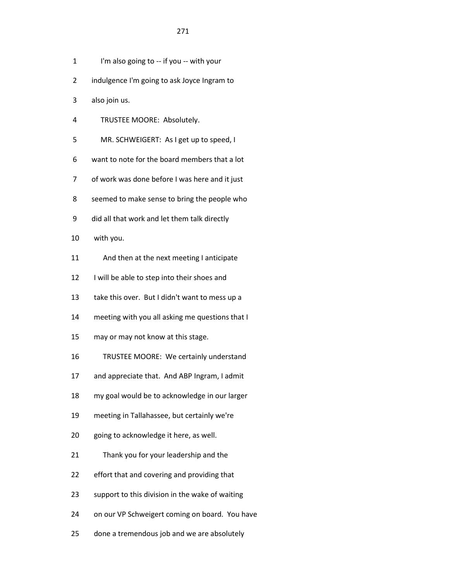- 1 I'm also going to -- if you -- with your
- 2 indulgence I'm going to ask Joyce Ingram to
- 3 also join us.
- 4 TRUSTEE MOORE: Absolutely.
- 5 MR. SCHWEIGERT: As I get up to speed, I
- 6 want to note for the board members that a lot
- 7 of work was done before I was here and it just
- 8 seemed to make sense to bring the people who
- 9 did all that work and let them talk directly
- 10 with you.
- 11 And then at the next meeting I anticipate
- 12 I will be able to step into their shoes and
- 13 take this over. But I didn't want to mess up a
- 14 meeting with you all asking me questions that I
- 15 may or may not know at this stage.
- 16 TRUSTEE MOORE: We certainly understand
- 17 and appreciate that. And ABP Ingram, I admit
- 18 my goal would be to acknowledge in our larger
- 19 meeting in Tallahassee, but certainly we're
- 20 going to acknowledge it here, as well.
- 21 Thank you for your leadership and the
- 22 effort that and covering and providing that
- 23 support to this division in the wake of waiting
- 24 on our VP Schweigert coming on board. You have
- 25 done a tremendous job and we are absolutely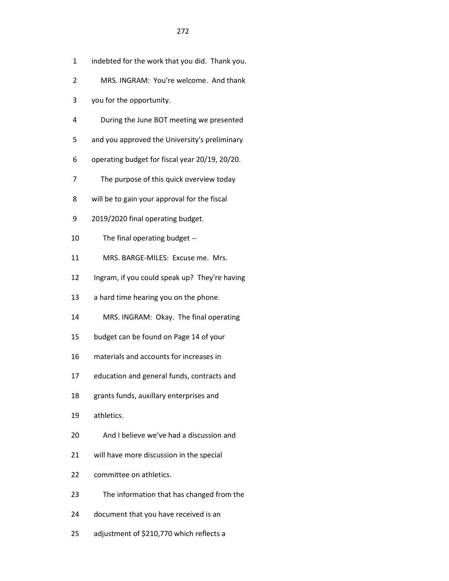- 1 indebted for the work that you did. Thank you. 2 MRS. INGRAM: You're welcome. And thank 3 you for the opportunity. 4 During the June BOT meeting we presented 5 and you approved the University's preliminary 6 operating budget for fiscal year 20/19, 20/20. 7 The purpose of this quick overview today 8 will be to gain your approval for the fiscal 9 2019/2020 final operating budget. 10 The final operating budget -- 11 MRS. BARGE-MILES: Excuse me. Mrs. 12 Ingram, if you could speak up? They're having 13 a hard time hearing you on the phone. 14 MRS. INGRAM: Okay. The final operating 15 budget can be found on Page 14 of your 16 materials and accounts for increases in 17 education and general funds, contracts and 18 grants funds, auxillary enterprises and 19 athletics. 20 And I believe we've had a discussion and 21 will have more discussion in the special 22 committee on athletics. 23 The information that has changed from the 24 document that you have received is an
- 25 adjustment of \$210,770 which reflects a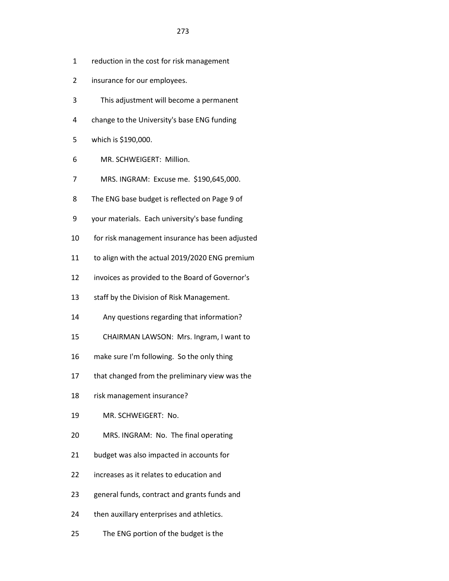- 2 insurance for our employees.
- 3 This adjustment will become a permanent
- 4 change to the University's base ENG funding
- 5 which is \$190,000.
- 6 MR. SCHWEIGERT: Million.
- 7 MRS. INGRAM: Excuse me. \$190,645,000.
- 8 The ENG base budget is reflected on Page 9 of
- 9 your materials. Each university's base funding
- 10 for risk management insurance has been adjusted
- 11 to align with the actual 2019/2020 ENG premium
- 12 invoices as provided to the Board of Governor's
- 13 staff by the Division of Risk Management.
- 14 Any questions regarding that information?
- 15 CHAIRMAN LAWSON: Mrs. Ingram, I want to
- 16 make sure I'm following. So the only thing
- 17 that changed from the preliminary view was the
- 18 risk management insurance?
- 19 MR. SCHWEIGERT: No.
- 20 MRS. INGRAM: No. The final operating
- 21 budget was also impacted in accounts for
- 22 increases as it relates to education and
- 23 general funds, contract and grants funds and
- 24 then auxillary enterprises and athletics.
- 25 The ENG portion of the budget is the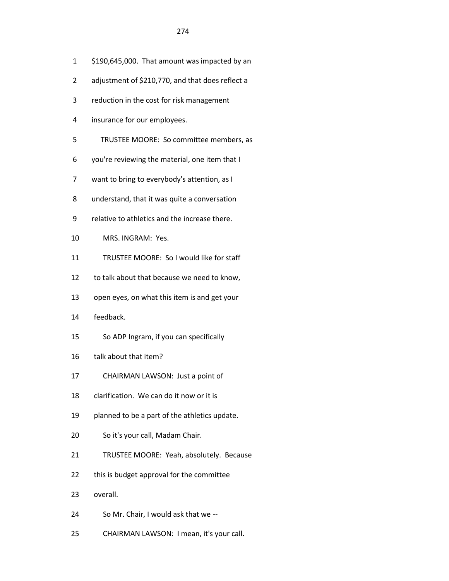- 1 \$190,645,000. That amount was impacted by an
- 2 adjustment of \$210,770, and that does reflect a
- 3 reduction in the cost for risk management
- 4 insurance for our employees.
- 5 TRUSTEE MOORE: So committee members, as
- 6 you're reviewing the material, one item that I
- 7 want to bring to everybody's attention, as I
- 8 understand, that it was quite a conversation
- 9 relative to athletics and the increase there.
- 10 MRS. INGRAM: Yes.
- 11 TRUSTEE MOORE: So I would like for staff
- 12 to talk about that because we need to know,
- 13 open eyes, on what this item is and get your
- 14 feedback.
- 15 So ADP Ingram, if you can specifically
- 16 talk about that item?
- 17 CHAIRMAN LAWSON: Just a point of
- 18 clarification. We can do it now or it is
- 19 planned to be a part of the athletics update.
- 20 So it's your call, Madam Chair.
- 21 TRUSTEE MOORE: Yeah, absolutely. Because
- 22 this is budget approval for the committee
- 23 overall.
- 24 So Mr. Chair, I would ask that we --
- 25 CHAIRMAN LAWSON: I mean, it's your call.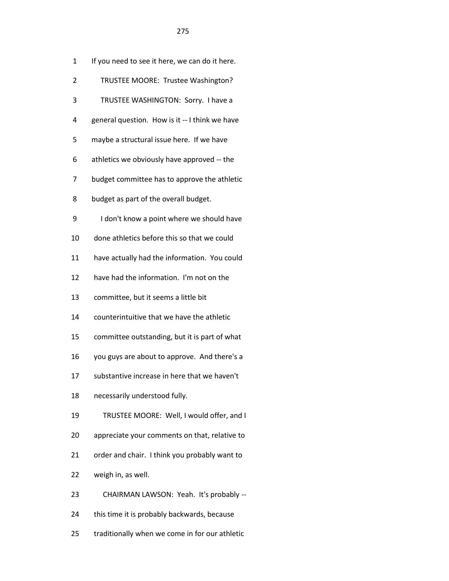| 1  | If you need to see it here, we can do it here. |
|----|------------------------------------------------|
| 2  | TRUSTEE MOORE: Trustee Washington?             |
| 3  | TRUSTEE WASHINGTON: Sorry. I have a            |
| 4  | general question. How is it -- I think we have |
| 5  | maybe a structural issue here. If we have      |
| 6  | athletics we obviously have approved -- the    |
| 7  | budget committee has to approve the athletic   |
| 8  | budget as part of the overall budget.          |
| 9  | I don't know a point where we should have      |
| 10 | done athletics before this so that we could    |
| 11 | have actually had the information. You could   |
| 12 | have had the information. I'm not on the       |
| 13 | committee, but it seems a little bit           |
| 14 | counterintuitive that we have the athletic     |
| 15 | committee outstanding, but it is part of what  |
| 16 | you guys are about to approve. And there's a   |
| 17 | substantive increase in here that we haven't   |
| 18 | necessarily understood fully.                  |
| 19 | TRUSTEE MOORE: Well, I would offer, and I      |
| 20 | appreciate your comments on that, relative to  |
| 21 | order and chair. I think you probably want to  |
| 22 | weigh in, as well.                             |
| 23 | CHAIRMAN LAWSON: Yeah. It's probably --        |
| 24 | this time it is probably backwards, because    |
|    |                                                |

25 traditionally when we come in for our athletic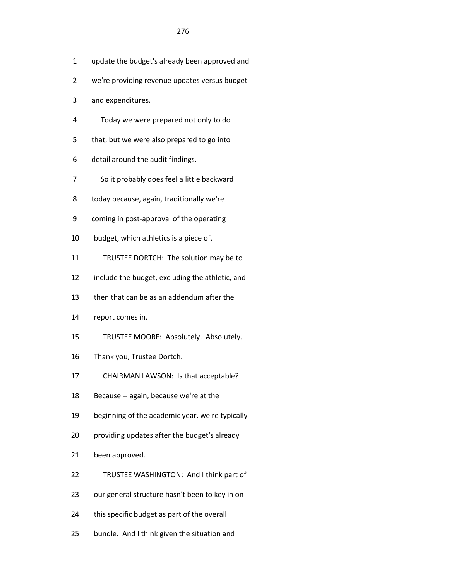- 1 update the budget's already been approved and
- 2 we're providing revenue updates versus budget
- 3 and expenditures.
- 4 Today we were prepared not only to do
- 5 that, but we were also prepared to go into
- 6 detail around the audit findings.
- 7 So it probably does feel a little backward
- 8 today because, again, traditionally we're
- 9 coming in post-approval of the operating
- 10 budget, which athletics is a piece of.
- 11 TRUSTEE DORTCH: The solution may be to
- 12 include the budget, excluding the athletic, and
- 13 then that can be as an addendum after the
- 14 report comes in.
- 15 TRUSTEE MOORE: Absolutely. Absolutely.
- 16 Thank you, Trustee Dortch.
- 17 CHAIRMAN LAWSON: Is that acceptable?
- 18 Because -- again, because we're at the
- 19 beginning of the academic year, we're typically
- 20 providing updates after the budget's already
- 21 been approved.
- 22 TRUSTEE WASHINGTON: And I think part of
- 23 our general structure hasn't been to key in on
- 24 this specific budget as part of the overall
- 25 bundle. And I think given the situation and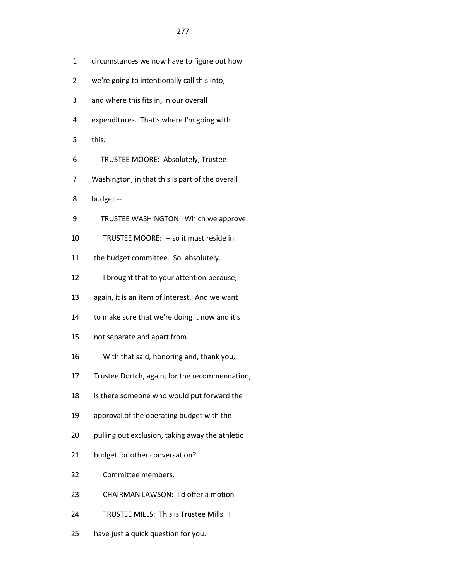- 1 circumstances we now have to figure out how
- 2 we're going to intentionally call this into,
- 3 and where this fits in, in our overall
- 4 expenditures. That's where I'm going with
- 5 this.
- 6 TRUSTEE MOORE: Absolutely, Trustee
- 7 Washington, in that this is part of the overall
- 8 budget --
- 9 TRUSTEE WASHINGTON: Which we approve.
- 10 TRUSTEE MOORE: -- so it must reside in
- 11 the budget committee. So, absolutely.
- 12 I brought that to your attention because,
- 13 again, it is an item of interest. And we want
- 14 to make sure that we're doing it now and it's
- 15 not separate and apart from.
- 16 With that said, honoring and, thank you,
- 17 Trustee Dortch, again, for the recommendation,
- 18 is there someone who would put forward the
- 19 approval of the operating budget with the
- 20 pulling out exclusion, taking away the athletic
- 21 budget for other conversation?
- 22 Committee members.
- 23 CHAIRMAN LAWSON: I'd offer a motion --
- 24 TRUSTEE MILLS: This is Trustee Mills. I
- 25 have just a quick question for you.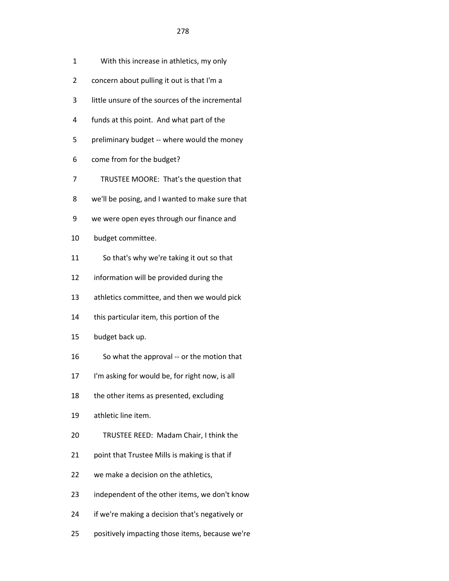- 2 concern about pulling it out is that I'm a
- 3 little unsure of the sources of the incremental
- 4 funds at this point. And what part of the
- 5 preliminary budget -- where would the money
- 6 come from for the budget?
- 7 TRUSTEE MOORE: That's the question that
- 8 we'll be posing, and I wanted to make sure that
- 9 we were open eyes through our finance and
- 10 budget committee.
- 11 So that's why we're taking it out so that
- 12 information will be provided during the
- 13 athletics committee, and then we would pick
- 14 this particular item, this portion of the
- 15 budget back up.
- 16 So what the approval -- or the motion that
- 17 I'm asking for would be, for right now, is all
- 18 the other items as presented, excluding
- 19 athletic line item.
- 20 TRUSTEE REED: Madam Chair, I think the
- 21 point that Trustee Mills is making is that if
- 22 we make a decision on the athletics,
- 23 independent of the other items, we don't know
- 24 if we're making a decision that's negatively or
- 25 positively impacting those items, because we're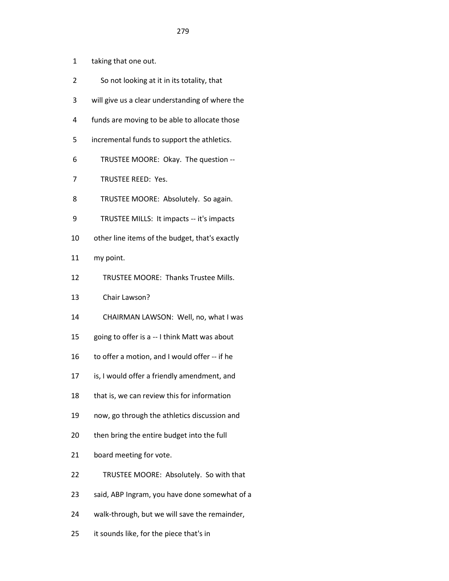- 1 taking that one out.
- 2 So not looking at it in its totality, that
- 3 will give us a clear understanding of where the
- 4 funds are moving to be able to allocate those
- 5 incremental funds to support the athletics.
- 6 TRUSTEE MOORE: Okay. The question --
- 7 TRUSTEE REED: Yes.
- 8 TRUSTEE MOORE: Absolutely. So again.
- 9 TRUSTEE MILLS: It impacts -- it's impacts
- 10 other line items of the budget, that's exactly
- 11 my point.
- 12 TRUSTEE MOORE: Thanks Trustee Mills.
- 13 Chair Lawson?
- 14 CHAIRMAN LAWSON: Well, no, what I was
- 15 going to offer is a -- I think Matt was about
- 16 to offer a motion, and I would offer -- if he
- 17 is, I would offer a friendly amendment, and
- 18 that is, we can review this for information
- 19 now, go through the athletics discussion and
- 20 then bring the entire budget into the full
- 21 board meeting for vote.
- 22 TRUSTEE MOORE: Absolutely. So with that
- 23 said, ABP Ingram, you have done somewhat of a
- 24 walk-through, but we will save the remainder,
- 25 it sounds like, for the piece that's in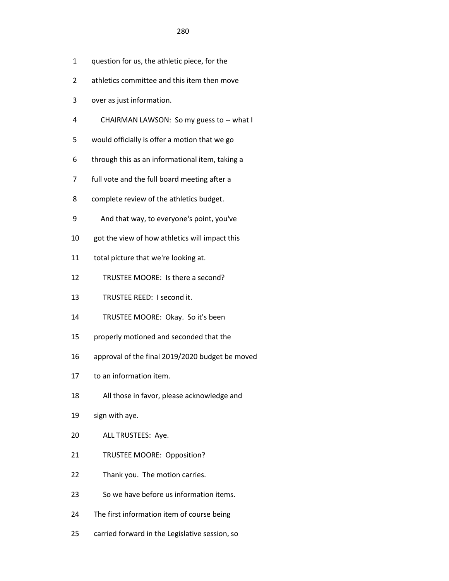- 1 question for us, the athletic piece, for the
- 2 athletics committee and this item then move
- 3 over as just information.
- 4 CHAIRMAN LAWSON: So my guess to -- what I
- 5 would officially is offer a motion that we go
- 6 through this as an informational item, taking a
- 7 full vote and the full board meeting after a
- 8 complete review of the athletics budget.
- 9 And that way, to everyone's point, you've
- 10 got the view of how athletics will impact this
- 11 total picture that we're looking at.
- 12 TRUSTEE MOORE: Is there a second?
- 13 TRUSTEE REED: I second it.
- 14 TRUSTEE MOORE: Okay. So it's been
- 15 properly motioned and seconded that the
- 16 approval of the final 2019/2020 budget be moved
- 17 to an information item.
- 18 All those in favor, please acknowledge and
- 19 sign with aye.
- 20 ALL TRUSTEES: Aye.
- 21 TRUSTEE MOORE: Opposition?
- 22 Thank you. The motion carries.
- 23 So we have before us information items.
- 24 The first information item of course being
- 25 carried forward in the Legislative session, so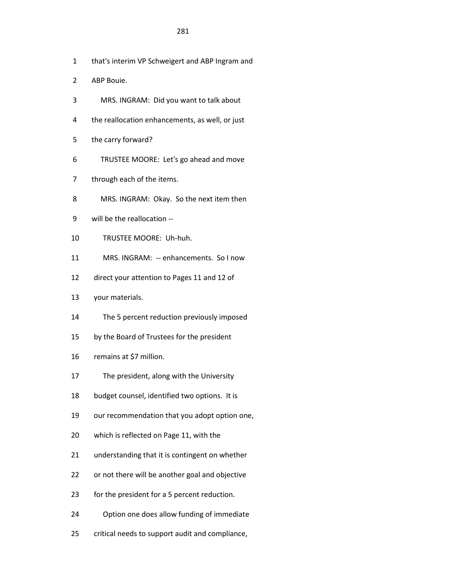- 1 that's interim VP Schweigert and ABP Ingram and
- 2 ABP Bouie.
- 3 MRS. INGRAM: Did you want to talk about
- 4 the reallocation enhancements, as well, or just
- 5 the carry forward?
- 6 TRUSTEE MOORE: Let's go ahead and move
- 7 through each of the items.
- 8 MRS. INGRAM: Okay. So the next item then
- 9 will be the reallocation --
- 10 TRUSTEE MOORE: Uh-huh.
- 11 MRS. INGRAM: -- enhancements. So I now
- 12 direct your attention to Pages 11 and 12 of
- 13 your materials.
- 14 The 5 percent reduction previously imposed
- 15 by the Board of Trustees for the president
- 16 remains at \$7 million.
- 17 The president, along with the University
- 18 budget counsel, identified two options. It is
- 19 our recommendation that you adopt option one,
- 20 which is reflected on Page 11, with the
- 21 understanding that it is contingent on whether
- 22 or not there will be another goal and objective
- 23 for the president for a 5 percent reduction.
- 24 Option one does allow funding of immediate
- 25 critical needs to support audit and compliance,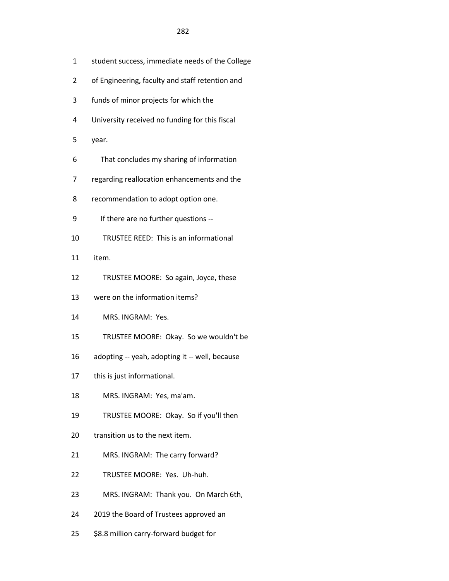- 1 student success, immediate needs of the College
- 2 of Engineering, faculty and staff retention and
- 3 funds of minor projects for which the
- 4 University received no funding for this fiscal
- 5 year.
- 6 That concludes my sharing of information
- 7 regarding reallocation enhancements and the
- 8 recommendation to adopt option one.
- 9 If there are no further questions --
- 10 TRUSTEE REED: This is an informational
- 11 item.
- 12 TRUSTEE MOORE: So again, Joyce, these
- 13 were on the information items?
- 14 MRS. INGRAM: Yes.
- 15 TRUSTEE MOORE: Okay. So we wouldn't be
- 16 adopting -- yeah, adopting it -- well, because
- 17 this is just informational.
- 18 MRS. INGRAM: Yes, ma'am.
- 19 TRUSTEE MOORE: Okay. So if you'll then
- 20 transition us to the next item.
- 21 MRS. INGRAM: The carry forward?
- 22 TRUSTEE MOORE: Yes. Uh-huh.
- 23 MRS. INGRAM: Thank you. On March 6th,
- 24 2019 the Board of Trustees approved an
- 25 \$8.8 million carry-forward budget for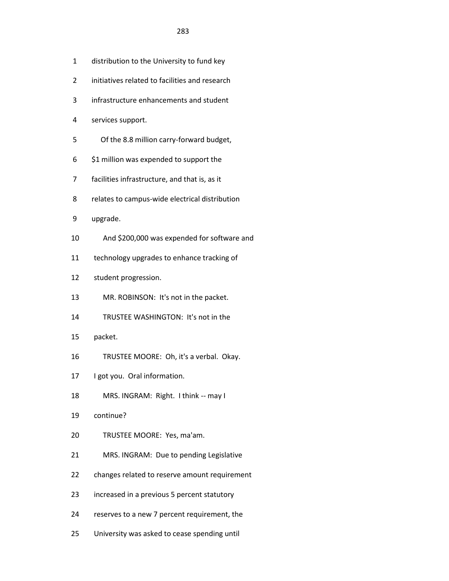- 1 distribution to the University to fund key
- 2 initiatives related to facilities and research
- 3 infrastructure enhancements and student
- 4 services support.
- 5 Of the 8.8 million carry-forward budget,
- 6 \$1 million was expended to support the
- 7 facilities infrastructure, and that is, as it
- 8 relates to campus-wide electrical distribution
- 9 upgrade.
- 10 And \$200,000 was expended for software and
- 11 technology upgrades to enhance tracking of
- 12 student progression.
- 13 MR. ROBINSON: It's not in the packet.
- 14 TRUSTEE WASHINGTON: It's not in the
- 15 packet.
- 16 TRUSTEE MOORE: Oh, it's a verbal. Okay.
- 17 I got you. Oral information.
- 18 MRS. INGRAM: Right. I think -- may I
- 19 continue?
- 20 TRUSTEE MOORE: Yes, ma'am.
- 21 MRS. INGRAM: Due to pending Legislative
- 22 changes related to reserve amount requirement
- 23 increased in a previous 5 percent statutory
- 24 reserves to a new 7 percent requirement, the
- 25 University was asked to cease spending until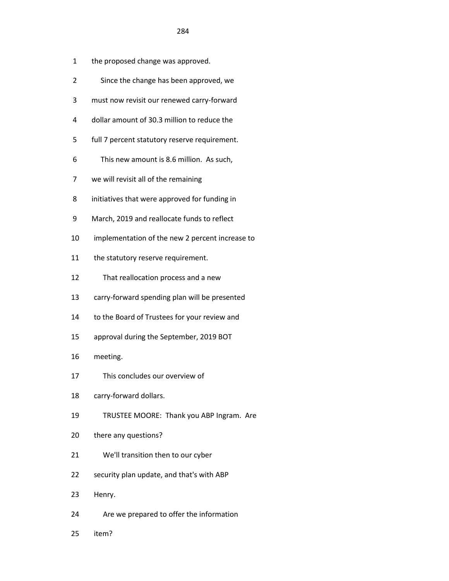- 1 the proposed change was approved.
- 2 Since the change has been approved, we
- 3 must now revisit our renewed carry-forward
- 4 dollar amount of 30.3 million to reduce the
- 5 full 7 percent statutory reserve requirement.
- 6 This new amount is 8.6 million. As such,
- 7 we will revisit all of the remaining
- 8 initiatives that were approved for funding in
- 9 March, 2019 and reallocate funds to reflect
- 10 implementation of the new 2 percent increase to
- 11 the statutory reserve requirement.
- 12 That reallocation process and a new
- 13 carry-forward spending plan will be presented
- 14 to the Board of Trustees for your review and
- 15 approval during the September, 2019 BOT
- 16 meeting.
- 17 This concludes our overview of
- 18 carry-forward dollars.
- 19 TRUSTEE MOORE: Thank you ABP Ingram. Are
- 20 there any questions?
- 21 We'll transition then to our cyber
- 22 security plan update, and that's with ABP
- 23 Henry.
- 24 Are we prepared to offer the information
- 25 item?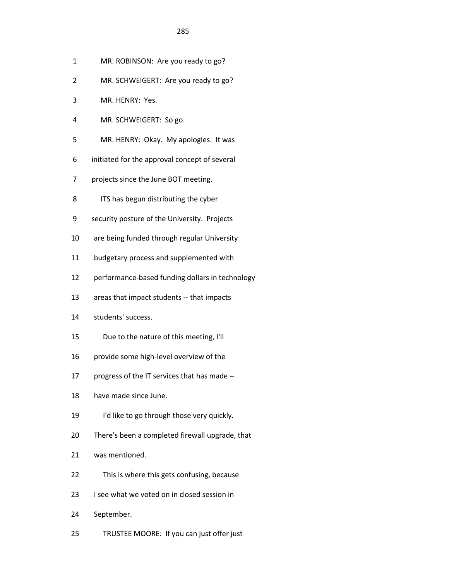- 1 MR. ROBINSON: Are you ready to go?
- 2 MR. SCHWEIGERT: Are you ready to go?
- 3 MR. HENRY: Yes.
- 4 MR. SCHWEIGERT: So go.
- 5 MR. HENRY: Okay. My apologies. It was
- 6 initiated for the approval concept of several
- 7 projects since the June BOT meeting.
- 8 ITS has begun distributing the cyber
- 9 security posture of the University. Projects
- 10 are being funded through regular University
- 11 budgetary process and supplemented with
- 12 performance-based funding dollars in technology
- 13 areas that impact students -- that impacts
- 14 students' success.
- 15 Due to the nature of this meeting, I'll
- 16 provide some high-level overview of the
- 17 progress of the IT services that has made --
- 18 have made since June.
- 19 I'd like to go through those very quickly.
- 20 There's been a completed firewall upgrade, that
- 21 was mentioned.
- 22 This is where this gets confusing, because
- 23 I see what we voted on in closed session in
- 24 September.
- 25 TRUSTEE MOORE: If you can just offer just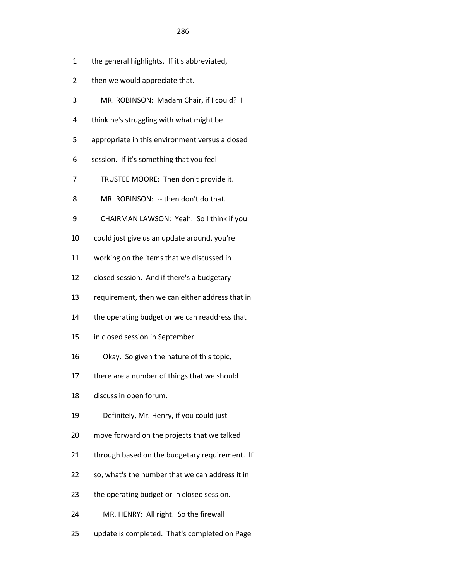- 1 the general highlights. If it's abbreviated,
- 2 then we would appreciate that.
- 3 MR. ROBINSON: Madam Chair, if I could? I
- 4 think he's struggling with what might be
- 5 appropriate in this environment versus a closed
- 6 session. If it's something that you feel --
- 7 TRUSTEE MOORE: Then don't provide it.
- 8 MR. ROBINSON: -- then don't do that.
- 9 CHAIRMAN LAWSON: Yeah. So I think if you
- 10 could just give us an update around, you're
- 11 working on the items that we discussed in
- 12 closed session. And if there's a budgetary
- 13 requirement, then we can either address that in
- 14 the operating budget or we can readdress that
- 15 in closed session in September.
- 16 Okay. So given the nature of this topic,
- 17 there are a number of things that we should
- 18 discuss in open forum.
- 19 Definitely, Mr. Henry, if you could just
- 20 move forward on the projects that we talked
- 21 through based on the budgetary requirement. If
- 22 so, what's the number that we can address it in
- 23 the operating budget or in closed session.
- 24 MR. HENRY: All right. So the firewall
- 25 update is completed. That's completed on Page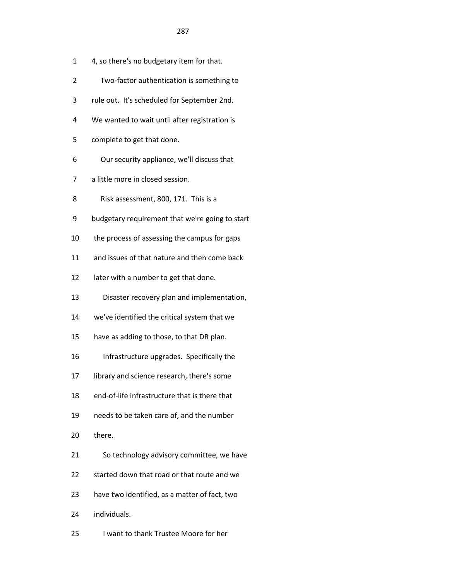- 1 4, so there's no budgetary item for that.
- 2 Two-factor authentication is something to
- 3 rule out. It's scheduled for September 2nd.
- 4 We wanted to wait until after registration is
- 5 complete to get that done.
- 6 Our security appliance, we'll discuss that
- 7 a little more in closed session.
- 8 Risk assessment, 800, 171. This is a
- 9 budgetary requirement that we're going to start
- 10 the process of assessing the campus for gaps
- 11 and issues of that nature and then come back
- 12 later with a number to get that done.
- 13 Disaster recovery plan and implementation,
- 14 we've identified the critical system that we
- 15 have as adding to those, to that DR plan.
- 16 Infrastructure upgrades. Specifically the
- 17 library and science research, there's some
- 18 end-of-life infrastructure that is there that
- 19 needs to be taken care of, and the number
- 20 there.
- 21 So technology advisory committee, we have
- 22 started down that road or that route and we
- 23 have two identified, as a matter of fact, two
- 24 individuals.
- 25 I want to thank Trustee Moore for her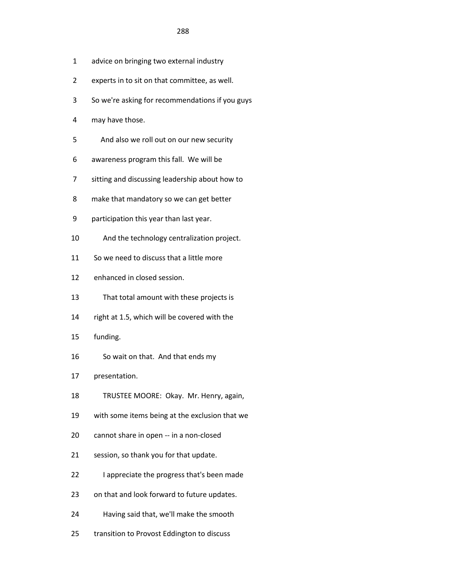- 1 advice on bringing two external industry
- 2 experts in to sit on that committee, as well.
- 3 So we're asking for recommendations if you guys
- 4 may have those.
- 5 And also we roll out on our new security
- 6 awareness program this fall. We will be
- 7 sitting and discussing leadership about how to
- 8 make that mandatory so we can get better
- 9 participation this year than last year.
- 10 And the technology centralization project.
- 11 So we need to discuss that a little more
- 12 enhanced in closed session.
- 13 That total amount with these projects is
- 14 right at 1.5, which will be covered with the
- 15 funding.
- 16 So wait on that. And that ends my
- 17 presentation.
- 18 TRUSTEE MOORE: Okay. Mr. Henry, again,
- 19 with some items being at the exclusion that we
- 20 cannot share in open -- in a non-closed
- 21 session, so thank you for that update.
- 22 I appreciate the progress that's been made
- 23 on that and look forward to future updates.
- 24 Having said that, we'll make the smooth
- 25 transition to Provost Eddington to discuss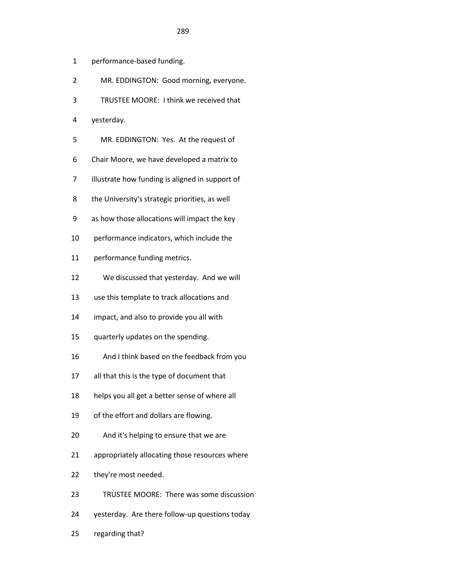- 1 performance-based funding.
- 2 MR. EDDINGTON: Good morning, everyone.
- 3 TRUSTEE MOORE: I think we received that
- 4 yesterday.
- 5 MR. EDDINGTON: Yes. At the request of
- 6 Chair Moore, we have developed a matrix to
- 7 illustrate how funding is aligned in support of
- 8 the University's strategic priorities, as well
- 9 as how those allocations will impact the key
- 10 performance indicators, which include the
- 11 performance funding metrics.
- 12 We discussed that yesterday. And we will
- 13 use this template to track allocations and
- 14 impact, and also to provide you all with
- 15 quarterly updates on the spending.
- 16 And I think based on the feedback from you
- 17 all that this is the type of document that
- 18 helps you all get a better sense of where all
- 19 of the effort and dollars are flowing.
- 20 And it's helping to ensure that we are
- 21 appropriately allocating those resources where
- 22 they're most needed.
- 23 TRUSTEE MOORE: There was some discussion
- 24 yesterday. Are there follow-up questions today
- 25 regarding that?